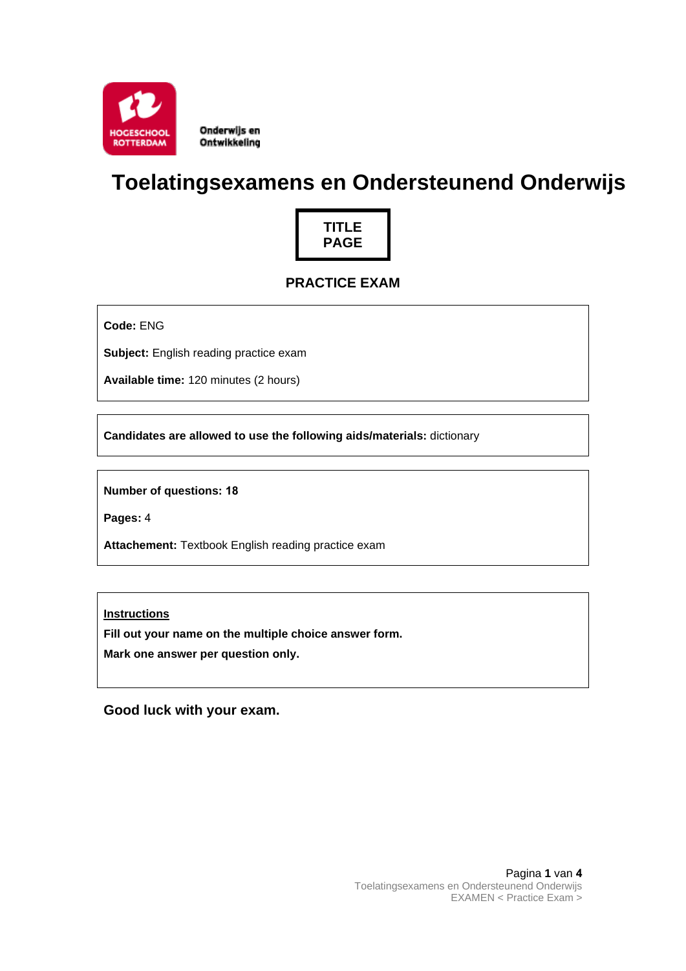

Onderwijs en Ontwikkeling

# **Toelatingsexamens en Ondersteunend Onderwijs**



# **PRACTICE EXAM**

**Code:** ENG

**Subject:** English reading practice exam

**Available time:** 120 minutes (2 hours)

**Candidates are allowed to use the following aids/materials:** dictionary

**Number of questions: 18**

**Pages:** 4

**Attachement:** Textbook English reading practice exam

**Instructions**

**Fill out your name on the multiple choice answer form.**

**Mark one answer per question only.**

**Good luck with your exam.**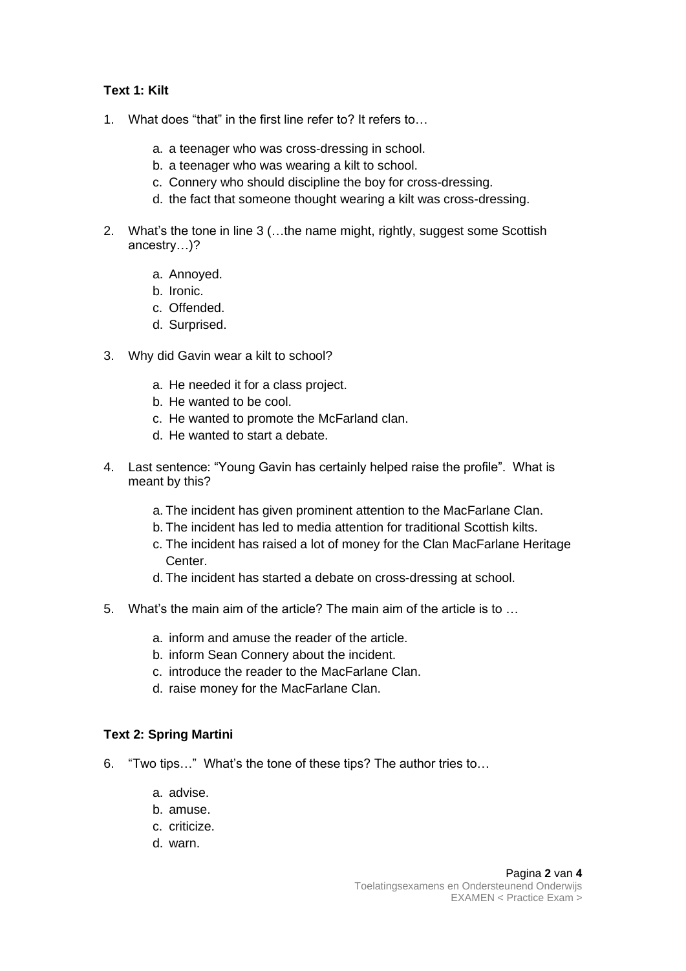## **Text 1: Kilt**

- 1. What does "that" in the first line refer to? It refers to…
	- a. a teenager who was cross-dressing in school.
	- b. a teenager who was wearing a kilt to school.
	- c. Connery who should discipline the boy for cross-dressing.
	- d. the fact that someone thought wearing a kilt was cross-dressing.
- 2. What's the tone in line 3 (…the name might, rightly, suggest some Scottish ancestry…)?
	- a. Annoyed.
	- b. Ironic.
	- c. Offended.
	- d. Surprised.
- 3. Why did Gavin wear a kilt to school?
	- a. He needed it for a class project.
	- b. He wanted to be cool.
	- c. He wanted to promote the McFarland clan.
	- d. He wanted to start a debate.
- 4. Last sentence: "Young Gavin has certainly helped raise the profile". What is meant by this?
	- a. The incident has given prominent attention to the MacFarlane Clan.
	- b. The incident has led to media attention for traditional Scottish kilts.
	- c. The incident has raised a lot of money for the Clan MacFarlane Heritage Center.
	- d. The incident has started a debate on cross-dressing at school.
- 5. What's the main aim of the article? The main aim of the article is to …
	- a. inform and amuse the reader of the article.
	- b. inform Sean Connery about the incident.
	- c. introduce the reader to the MacFarlane Clan.
	- d. raise money for the MacFarlane Clan.

### **Text 2: Spring Martini**

- 6. "Two tips…" What's the tone of these tips? The author tries to…
	- a. advise.
	- b. amuse.
	- c. criticize.
	- d. warn.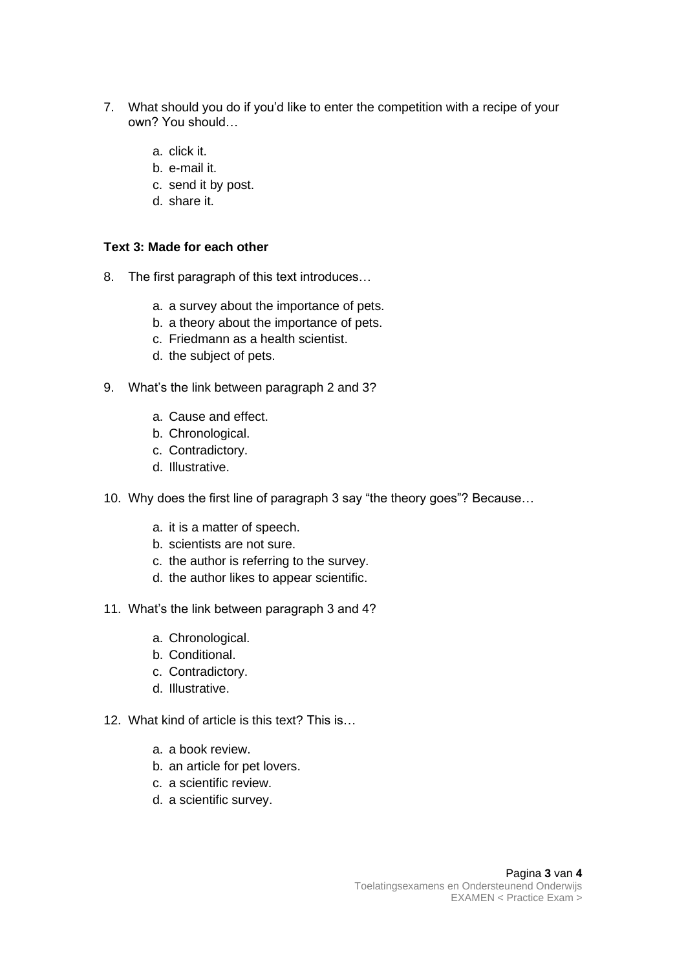- 7. What should you do if you'd like to enter the competition with a recipe of your own? You should…
	- a. click it.
	- b. e-mail it.
	- c. send it by post.
	- d. share it.

#### **Text 3: Made for each other**

- 8. The first paragraph of this text introduces…
	- a. a survey about the importance of pets.
	- b. a theory about the importance of pets.
	- c. Friedmann as a health scientist.
	- d. the subject of pets.
- 9. What's the link between paragraph 2 and 3?
	- a. Cause and effect.
	- b. Chronological.
	- c. Contradictory.
	- d. Illustrative.
- 10. Why does the first line of paragraph 3 say "the theory goes"? Because…
	- a. it is a matter of speech.
	- b. scientists are not sure.
	- c. the author is referring to the survey.
	- d. the author likes to appear scientific.
- 11. What's the link between paragraph 3 and 4?
	- a. Chronological.
	- b. Conditional.
	- c. Contradictory.
	- d. Illustrative.
- 12. What kind of article is this text? This is…
	- a. a book review.
	- b. an article for pet lovers.
	- c. a scientific review.
	- d. a scientific survey.